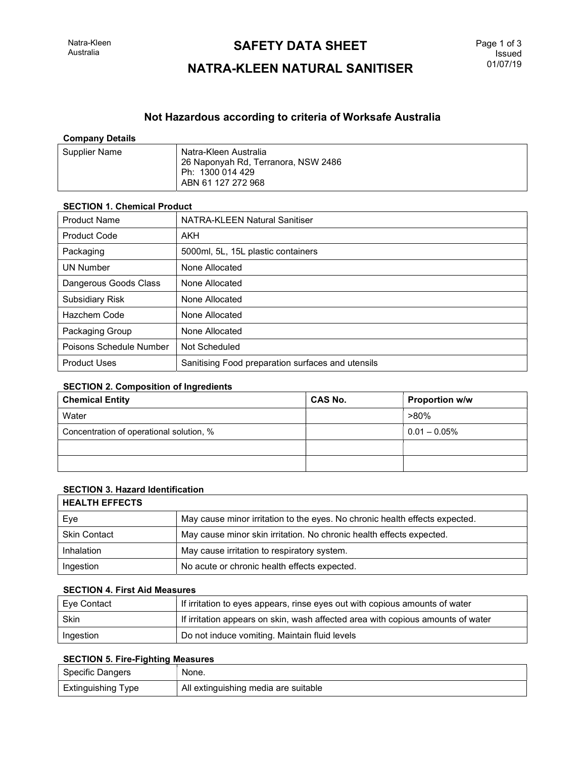## **SAFETY DATA SHEET**

# NATRA-KLEEN NATURAL SANITISER

### Not Hazardous according to criteria of Worksafe Australia

| <b>Company Details</b> |                                                                                                        |
|------------------------|--------------------------------------------------------------------------------------------------------|
| Supplier Name          | Natra-Kleen Australia<br>26 Naponyah Rd, Terranora, NSW 2486<br>Ph: 1300 014 429<br>ABN 61 127 272 968 |

| <b>SECTION 1. Chemical Product</b> |                                                   |  |
|------------------------------------|---------------------------------------------------|--|
| <b>Product Name</b>                | NATRA-KLEEN Natural Sanitiser                     |  |
| <b>Product Code</b>                | AKH                                               |  |
| Packaging                          | 5000ml, 5L, 15L plastic containers                |  |
| <b>UN Number</b>                   | None Allocated                                    |  |
| Dangerous Goods Class              | None Allocated                                    |  |
| <b>Subsidiary Risk</b>             | None Allocated                                    |  |
| Hazchem Code                       | None Allocated                                    |  |
| Packaging Group                    | None Allocated                                    |  |
| Poisons Schedule Number            | Not Scheduled                                     |  |
| <b>Product Uses</b>                | Sanitising Food preparation surfaces and utensils |  |

#### SECTION 2. Composition of Ingredients

| <b>Chemical Entity</b>                   | <b>CAS No.</b> | <b>Proportion w/w</b> |
|------------------------------------------|----------------|-----------------------|
| Water                                    |                | $>80\%$               |
| Concentration of operational solution, % |                | $10.01 - 0.05\%$      |
|                                          |                |                       |
|                                          |                |                       |

### SECTION 3. Hazard Identification

| <b>HEALTH EFFECTS</b> |                                                                             |
|-----------------------|-----------------------------------------------------------------------------|
| Eye                   | May cause minor irritation to the eyes. No chronic health effects expected. |
| <b>Skin Contact</b>   | May cause minor skin irritation. No chronic health effects expected.        |
| Inhalation            | May cause irritation to respiratory system.                                 |
| Ingestion             | No acute or chronic health effects expected.                                |

#### SECTION 4. First Aid Measures

| ∣ Eye Contact | If irritation to eyes appears, rinse eyes out with copious amounts of water     |
|---------------|---------------------------------------------------------------------------------|
| Skin          | If irritation appears on skin, wash affected area with copious amounts of water |
| Ingestion     | Do not induce vomiting. Maintain fluid levels                                   |

#### SECTION 5. Fire-Fighting Measures

| <b>Specific Dangers</b> | None.                                |
|-------------------------|--------------------------------------|
| Extinguishing Type      | All extinguishing media are suitable |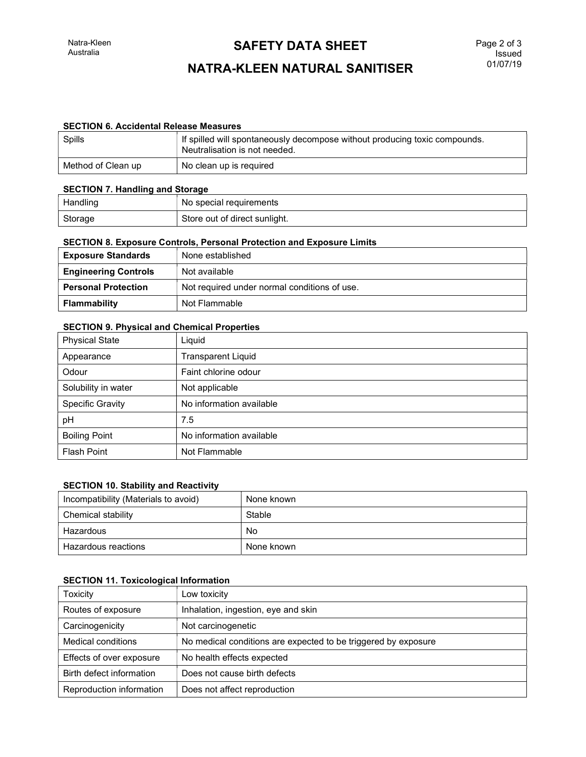## **SAFETY DATA SHEET**

# NATRA-KLEEN NATURAL SANITISER

### SECTION 6. Accidental Release Measures

| Spills             | If spilled will spontaneously decompose without producing toxic compounds.<br>Neutralisation is not needed. |
|--------------------|-------------------------------------------------------------------------------------------------------------|
| Method of Clean up | No clean up is required                                                                                     |

#### SECTION 7. Handling and Storage

| Handling | No special requirements       |
|----------|-------------------------------|
| Storage  | Store out of direct sunlight. |

#### SECTION 8. Exposure Controls, Personal Protection and Exposure Limits

| <b>Exposure Standards</b>   | None established                             |  |
|-----------------------------|----------------------------------------------|--|
| <b>Engineering Controls</b> | Not available                                |  |
| <b>Personal Protection</b>  | Not required under normal conditions of use. |  |
| Flammability                | Not Flammable                                |  |

#### SECTION 9. Physical and Chemical Properties

| <b>Physical State</b> | Liquid                    |
|-----------------------|---------------------------|
| Appearance            | <b>Transparent Liquid</b> |
| Odour                 | Faint chlorine odour      |
| Solubility in water   | Not applicable            |
| Specific Gravity      | No information available  |
| рH                    | 7.5                       |
| <b>Boiling Point</b>  | No information available  |
| <b>Flash Point</b>    | Not Flammable             |

### SECTION 10. Stability and Reactivity

| Incompatibility (Materials to avoid) | None known |
|--------------------------------------|------------|
| Chemical stability                   | Stable     |
| Hazardous                            | No         |
| Hazardous reactions                  | None known |

#### SECTION 11. Toxicological Information

| <b>Toxicity</b>           | Low toxicity                                                   |
|---------------------------|----------------------------------------------------------------|
| Routes of exposure        | Inhalation, ingestion, eye and skin                            |
| Carcinogenicity           | Not carcinogenetic                                             |
| <b>Medical conditions</b> | No medical conditions are expected to be triggered by exposure |
| Effects of over exposure  | No health effects expected                                     |
| Birth defect information  | Does not cause birth defects                                   |
| Reproduction information  | Does not affect reproduction                                   |